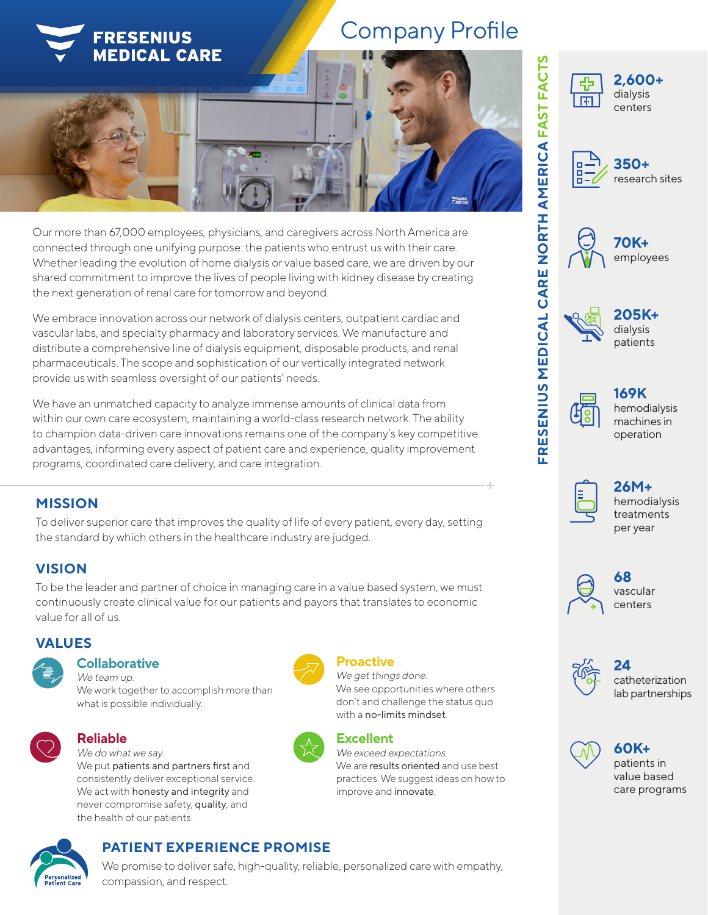

# Company Profile





**350+** research sites



**70K+** employees



**205K+** dialysis patients



### **169K** hemodialysis machines in operation



**26M+** hemodialysis treatments per year



vascular centers



**24** catheterization lab partnerships

patients in value based care programs



















### Our more than 67,000 employees, physicians, and caregivers across North America are connected through one unifying purpose: the patients who entrust us with their care. Whether leading the evolution of home dialysis or value based care, we are driven by our shared commitment to improve the lives of people living with kidney disease by creating the next generation of renal care for tomorrow and beyond.

We embrace innovation across our network of dialysis centers, outpatient cardiac and vascular labs, and specialty pharmacy and laboratory services. We manufacture and distribute a comprehensive line of dialysis equipment, disposable products, and renal pharmaceuticals. The scope and sophistication of our vertically integrated network provide us with seamless oversight of our patients' needs.

We have an unmatched capacity to analyze immense amounts of clinical data from within our own care ecosystem, maintaining a world-class research network. The ability to champion data-driven care innovations remains one of the company's key competitive advantages, informing every aspect of patient care and experience, quality improvement programs, coordinated care delivery, and care integration.

# **MISSION**

To deliver superior care that improves the quality of life of every patient, every day, setting the standard by which others in the healthcare industry are judged.

# **VISION**

To be the leader and partner of choice in managing care in a value based system, we must continuously create clinical value for our patients and payors that translates to economic value for all of us.

# **VALUES**

### **Collaborative**

We team up. We work together to accomplish more than what is possible individually.



### **Reliable**

We do what we say. We put patients and partners first and consistently deliver exceptional service. We act with honesty and integrity and never compromise safety, quality, and the health of our patients.



### **Proactive**

We get things done. We see opportunities where others don't and challenge the status quo with a no-limits mindset.



# **Excellent**

We exceed expectations. We are results oriented and use best practices. We suggest ideas on how to improve and innovate.



# **PATIENT EXPERIENCE PROMISE**

We promise to deliver safe, high-quality, reliable, personalized care with empathy, compassion, and respect.